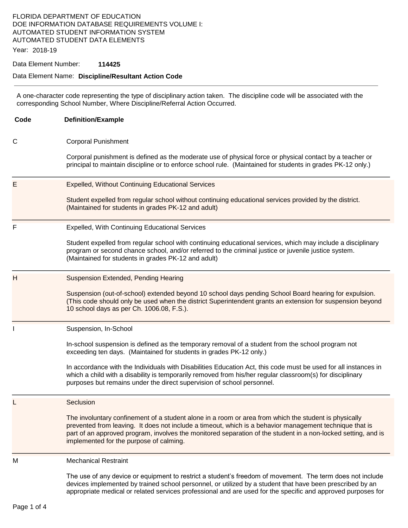### FLORIDA DEPARTMENT OF EDUCATION DOE INFORMATION DATABASE REQUIREMENTS VOLUME I: AUTOMATED STUDENT INFORMATION SYSTEM AUTOMATED STUDENT DATA ELEMENTS

Year: 2018-19

#### Data Element Number: **114425**

#### Data Element Name: **Discipline/Resultant Action Code**

A one-character code representing the type of disciplinary action taken. The discipline code will be associated with the corresponding School Number, Where Discipline/Referral Action Occurred.

**Code Definition/Example**  C Corporal Punishment Corporal punishment is defined as the moderate use of physical force or physical contact by a teacher or principal to maintain discipline or to enforce school rule. (Maintained for students in grades PK-12 only.) E Expelled, Without Continuing Educational Services Student expelled from regular school without continuing educational services provided by the district. (Maintained for students in grades PK-12 and adult) F Expelled, With Continuing Educational Services Student expelled from regular school with continuing educational services, which may include a disciplinary program or second chance school, and/or referred to the criminal justice or juvenile justice system. (Maintained for students in grades PK-12 and adult) H Suspension Extended, Pending Hearing Suspension (out-of-school) extended beyond 10 school days pending School Board hearing for expulsion. (This code should only be used when the district Superintendent grants an extension for suspension beyond 10 school days as per Ch. 1006.08, F.S.). Suspension, In-School In-school suspension is defined as the temporary removal of a student from the school program not exceeding ten days. (Maintained for students in grades PK-12 only.) In accordance with the Individuals with Disabilities Education Act, this code must be used for all instances in which a child with a disability is temporarily removed from his/her regular classroom(s) for disciplinary purposes but remains under the direct supervision of school personnel. Seclusion The involuntary confinement of a student alone in a room or area from which the student is physically prevented from leaving. It does not include a timeout, which is a behavior management technique that is part of an approved program, involves the monitored separation of the student in a non-locked setting, and is implemented for the purpose of calming. M Mechanical Restraint The use of any device or equipment to restrict a student's freedom of movement. The term does not include devices implemented by trained school personnel, or utilized by a student that have been prescribed by an appropriate medical or related services professional and are used for the specific and approved purposes for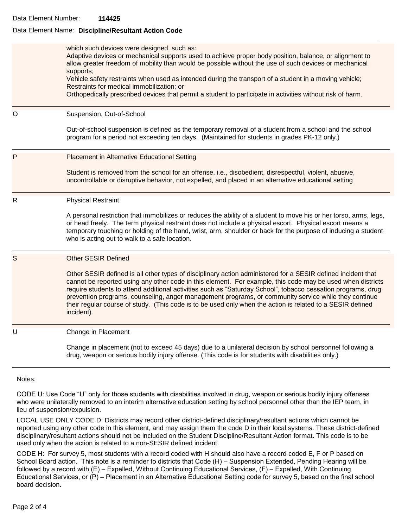#### Data Element Name: **Discipline/Resultant Action Code**

|         | which such devices were designed, such as:<br>Adaptive devices or mechanical supports used to achieve proper body position, balance, or alignment to<br>allow greater freedom of mobility than would be possible without the use of such devices or mechanical<br>supports;<br>Vehicle safety restraints when used as intended during the transport of a student in a moving vehicle;<br>Restraints for medical immobilization; or<br>Orthopedically prescribed devices that permit a student to participate in activities without risk of harm.                               |
|---------|--------------------------------------------------------------------------------------------------------------------------------------------------------------------------------------------------------------------------------------------------------------------------------------------------------------------------------------------------------------------------------------------------------------------------------------------------------------------------------------------------------------------------------------------------------------------------------|
| $\circ$ | Suspension, Out-of-School                                                                                                                                                                                                                                                                                                                                                                                                                                                                                                                                                      |
|         | Out-of-school suspension is defined as the temporary removal of a student from a school and the school<br>program for a period not exceeding ten days. (Maintained for students in grades PK-12 only.)                                                                                                                                                                                                                                                                                                                                                                         |
| P       | <b>Placement in Alternative Educational Setting</b>                                                                                                                                                                                                                                                                                                                                                                                                                                                                                                                            |
|         | Student is removed from the school for an offense, i.e., disobedient, disrespectful, violent, abusive,<br>uncontrollable or disruptive behavior, not expelled, and placed in an alternative educational setting                                                                                                                                                                                                                                                                                                                                                                |
| R       | <b>Physical Restraint</b>                                                                                                                                                                                                                                                                                                                                                                                                                                                                                                                                                      |
|         | A personal restriction that immobilizes or reduces the ability of a student to move his or her torso, arms, legs,<br>or head freely. The term physical restraint does not include a physical escort. Physical escort means a<br>temporary touching or holding of the hand, wrist, arm, shoulder or back for the purpose of inducing a student<br>who is acting out to walk to a safe location.                                                                                                                                                                                 |
| S       | <b>Other SESIR Defined</b>                                                                                                                                                                                                                                                                                                                                                                                                                                                                                                                                                     |
|         | Other SESIR defined is all other types of disciplinary action administered for a SESIR defined incident that<br>cannot be reported using any other code in this element. For example, this code may be used when districts<br>require students to attend additional activities such as "Saturday School", tobacco cessation programs, drug<br>prevention programs, counseling, anger management programs, or community service while they continue<br>their regular course of study. (This code is to be used only when the action is related to a SESIR defined<br>incident). |
| U       | Change in Placement                                                                                                                                                                                                                                                                                                                                                                                                                                                                                                                                                            |
|         | Change in placement (not to exceed 45 days) due to a unilateral decision by school personnel following a<br>drug, weapon or serious bodily injury offense. (This code is for students with disabilities only.)                                                                                                                                                                                                                                                                                                                                                                 |
|         |                                                                                                                                                                                                                                                                                                                                                                                                                                                                                                                                                                                |

Notes:

CODE U: Use Code "U" only for those students with disabilities involved in drug, weapon or serious bodily injury offenses who were unilaterally removed to an interim alternative education setting by school personnel other than the IEP team, in lieu of suspension/expulsion.

LOCAL USE ONLY CODE D: Districts may record other district-defined disciplinary/resultant actions which cannot be reported using any other code in this element, and may assign them the code D in their local systems. These district-defined disciplinary/resultant actions should not be included on the Student Discipline/Resultant Action format. This code is to be used only when the action is related to a non-SESIR defined incident.

CODE H: For survey 5, most students with a record coded with H should also have a record coded E, F or P based on School Board action. This note is a reminder to districts that Code (H) – Suspension Extended, Pending Hearing will be followed by a record with (E) – Expelled, Without Continuing Educational Services, (F) – Expelled, With Continuing Educational Services, or (P) – Placement in an Alternative Educational Setting code for survey 5, based on the final school board decision.